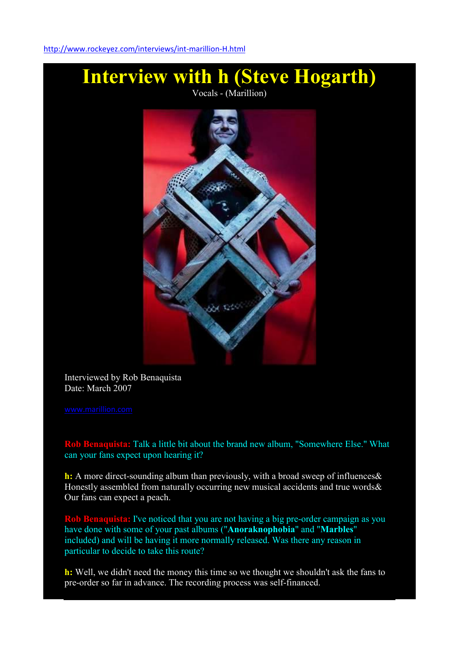

Interviewed by Rob Benaquista Date: March 2007

Rob Benaquista: Talk a little bit about the brand new album, "Somewhere Else." What can your fans expect upon hearing it?

h: A more direct-sounding album than previously, with a broad sweep of influences & Honestly assembled from naturally occurring new musical accidents and true words & Our fans can expect a peach.

Rob Benaquista: I've noticed that you are not having a big pre-order campaign as you have done with some of your past albums ("Anoraknophobia" and "Marbles" included) and will be having it more normally released. Was there any reason in particular to decide to take this route?

h: Well, we didn't need the money this time so we thought we shouldn't ask the fans to pre-order so far in advance. The recording process was self-financed.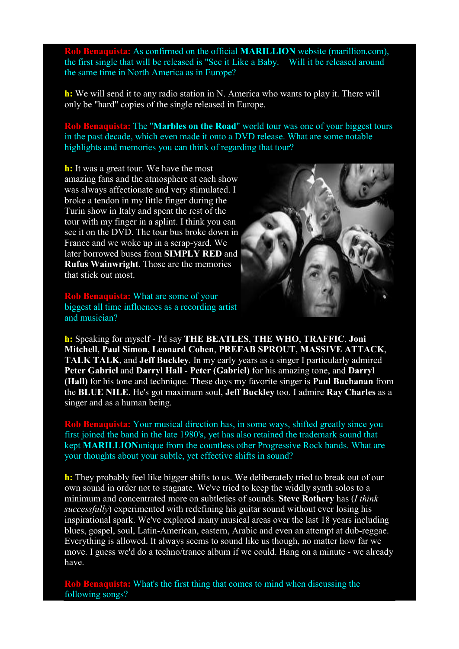naquista: As confirmed on the official **MARILLION** website (marillion.com), the first single that will be released is "See it Like a Baby. Will it be released around the same time in North America as in Europe?

h: We will send it to any radio station in N. America who wants to play it. There will only be "hard" copies of the single released in Europe.

Rob Benaquista: The "Marbles on the Road" world tour was one of your biggest tours in the past decade, which even made it onto a DVD release. What are some notable highlights and memories you can think of regarding that tour?

h: It was a great tour. We have the most amazing fans and the atmosphere at each show was always affectionate and very stimulated. I broke a tendon in my little finger during the Turin show in Italy and spent the rest of the tour with my finger in a splint. I think you can see it on the DVD. The tour bus broke down in France and we woke up in a scrap-yard. We later borrowed buses from SIMPLY RED and Rufus Wainwright. Those are the memories that stick out most.

Rob Benaquista: What are some of your biggest all time influences as a recording artist and musician?



h: Speaking for myself - I'd say THE BEATLES, THE WHO, TRAFFIC, Joni Mitchell, Paul Simon, Leonard Cohen, PREFAB SPROUT, MASSIVE ATTACK, TALK TALK, and Jeff Buckley. In my early years as a singer I particularly admired Peter Gabriel and Darryl Hall - Peter (Gabriel) for his amazing tone, and Darryl (Hall) for his tone and technique. These days my favorite singer is Paul Buchanan from the BLUE NILE. He's got maximum soul, Jeff Buckley too. I admire Ray Charles as a singer and as a human being.

ob Benaquista: Your musical direction has, in some ways, shifted greatly since you first joined the band in the late 1980's, yet has also retained the trademark sound that kept MARILLIONunique from the countless other Progressive Rock bands. What are your thoughts about your subtle, yet effective shifts in sound?

h: They probably feel like bigger shifts to us. We deliberately tried to break out of our own sound in order not to stagnate. We've tried to keep the widdly synth solos to a minimum and concentrated more on subtleties of sounds. Steve Rothery has (*I think successfully*) experimented with redefining his guitar sound without ever losing his inspirational spark. We've explored many musical areas over the last 18 years including blues, gospel, soul, Latin-American, eastern, Arabic and even an attempt at dub-reggae. Everything is allowed. It always seems to sound like us though, no matter how far we move. I guess we'd do a techno/trance album if we could. Hang on a minute - we already have.

Rob Benaquista: What's the first thing that comes to mind when discussing the following songs?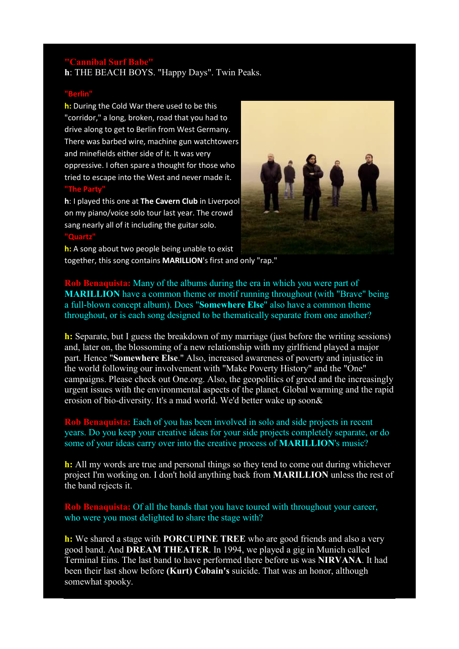## "Cannibal Surf Babe"

h: THE BEACH BOYS. "Happy Days". Twin Peaks.

## "Berlin"

h: During the Cold War there used to be this "corridor," a long, broken, road that you had to drive along to get to Berlin from West Germany. There was barbed wire, machine gun watchtowers and minefields either side of it. It was very oppressive. I often spare a thought for those who tried to escape into the West and never made it. "The Party"

h: I played this one at The Cavern Club in Liverpool on my piano/voice solo tour last year. The crowd sang nearly all of it including the guitar solo. "Quartz"



h: A song about two people being unable to exist together, this song contains MARILLION's first and only "rap."

Rob Benaquista: Many of the albums during the era in which you were part of MARILLION have a common theme or motif running throughout (with "Brave" being a full-blown concept album). Does "Somewhere Else" also have a common theme throughout, or is each song designed to be thematically separate from one another?

h: Separate, but I guess the breakdown of my marriage (just before the writing sessions) and, later on, the blossoming of a new relationship with my girlfriend played a major part. Hence "Somewhere Else." Also, increased awareness of poverty and injustice in the world following our involvement with "Make Poverty History" and the "One" campaigns. Please check out One.org. Also, the geopolitics of greed and the increasingly urgent issues with the environmental aspects of the planet. Global warming and the rapid erosion of bio-diversity. It's a mad world. We'd better wake up soon&

Rob Benaquista: Each of you has been involved in solo and side projects in recent years. Do you keep your creative ideas for your side projects completely separate, or do some of your ideas carry over into the creative process of **MARILLION**'s music?

h: All my words are true and personal things so they tend to come out during whichever project I'm working on. I don't hold anything back from MARILLION unless the rest of the band rejects it.

Rob Benaquista: Of all the bands that you have toured with throughout your career, who were you most delighted to share the stage with?

h: We shared a stage with PORCUPINE TREE who are good friends and also a very good band. And DREAM THEATER. In 1994, we played a gig in Munich called Terminal Eins. The last band to have performed there before us was NIRVANA. It had been their last show before (Kurt) Cobain's suicide. That was an honor, although somewhat spooky.